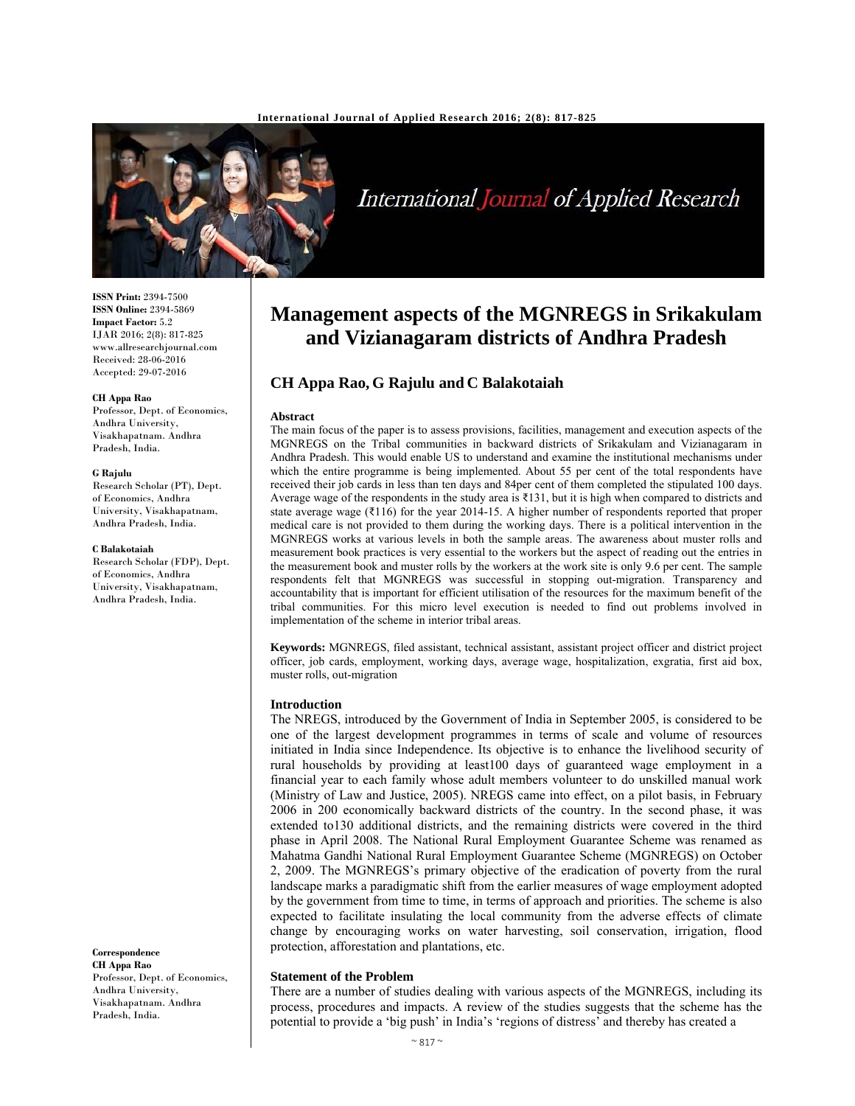

# International Journal of Applied Research

**ISSN Print:** 2394-7500 **ISSN Online:** 2394-5869 **Impact Factor:** 5.2 IJAR 2016; 2(8): 817-825 www.allresearchjournal.com Received: 28-06-2016 Accepted: 29-07-2016

#### **CH Appa Rao**

Professor, Dept. of Economics, Andhra University, Visakhapatnam. Andhra Pradesh, India.

#### **G Rajulu**

Research Scholar (PT), Dept. of Economics, Andhra University, Visakhapatnam, Andhra Pradesh, India.

#### **C Balakotaiah**

Research Scholar (FDP), Dept. of Economics, Andhra University, Visakhapatnam, Andhra Pradesh, India.

**Correspondence CH Appa Rao**  Professor, Dept. of Economics, Andhra University, Visakhapatnam. Andhra Pradesh, India.

## **Management aspects of the MGNREGS in Srikakulam and Vizianagaram districts of Andhra Pradesh**

### **CH Appa Rao, G Rajulu and C Balakotaiah**

#### **Abstract**

The main focus of the paper is to assess provisions, facilities, management and execution aspects of the MGNREGS on the Tribal communities in backward districts of Srikakulam and Vizianagaram in Andhra Pradesh. This would enable US to understand and examine the institutional mechanisms under which the entire programme is being implemented. About 55 per cent of the total respondents have received their job cards in less than ten days and 84per cent of them completed the stipulated 100 days. Average wage of the respondents in the study area is ₹131, but it is high when compared to districts and state average wage (₹116) for the year 2014-15. A higher number of respondents reported that proper medical care is not provided to them during the working days. There is a political intervention in the MGNREGS works at various levels in both the sample areas. The awareness about muster rolls and measurement book practices is very essential to the workers but the aspect of reading out the entries in the measurement book and muster rolls by the workers at the work site is only 9.6 per cent. The sample respondents felt that MGNREGS was successful in stopping out-migration. Transparency and accountability that is important for efficient utilisation of the resources for the maximum benefit of the tribal communities. For this micro level execution is needed to find out problems involved in implementation of the scheme in interior tribal areas.

**Keywords:** MGNREGS, filed assistant, technical assistant, assistant project officer and district project officer, job cards, employment, working days, average wage, hospitalization, exgratia, first aid box, muster rolls, out-migration

#### **Introduction**

The NREGS, introduced by the Government of India in September 2005, is considered to be one of the largest development programmes in terms of scale and volume of resources initiated in India since Independence. Its objective is to enhance the livelihood security of rural households by providing at least100 days of guaranteed wage employment in a financial year to each family whose adult members volunteer to do unskilled manual work (Ministry of Law and Justice, 2005). NREGS came into effect, on a pilot basis, in February 2006 in 200 economically backward districts of the country. In the second phase, it was extended to130 additional districts, and the remaining districts were covered in the third phase in April 2008. The National Rural Employment Guarantee Scheme was renamed as Mahatma Gandhi National Rural Employment Guarantee Scheme (MGNREGS) on October 2, 2009. The MGNREGS's primary objective of the eradication of poverty from the rural landscape marks a paradigmatic shift from the earlier measures of wage employment adopted by the government from time to time, in terms of approach and priorities. The scheme is also expected to facilitate insulating the local community from the adverse effects of climate change by encouraging works on water harvesting, soil conservation, irrigation, flood protection, afforestation and plantations, etc.

#### **Statement of the Problem**

There are a number of studies dealing with various aspects of the MGNREGS, including its process, procedures and impacts. A review of the studies suggests that the scheme has the potential to provide a 'big push' in India's 'regions of distress' and thereby has created a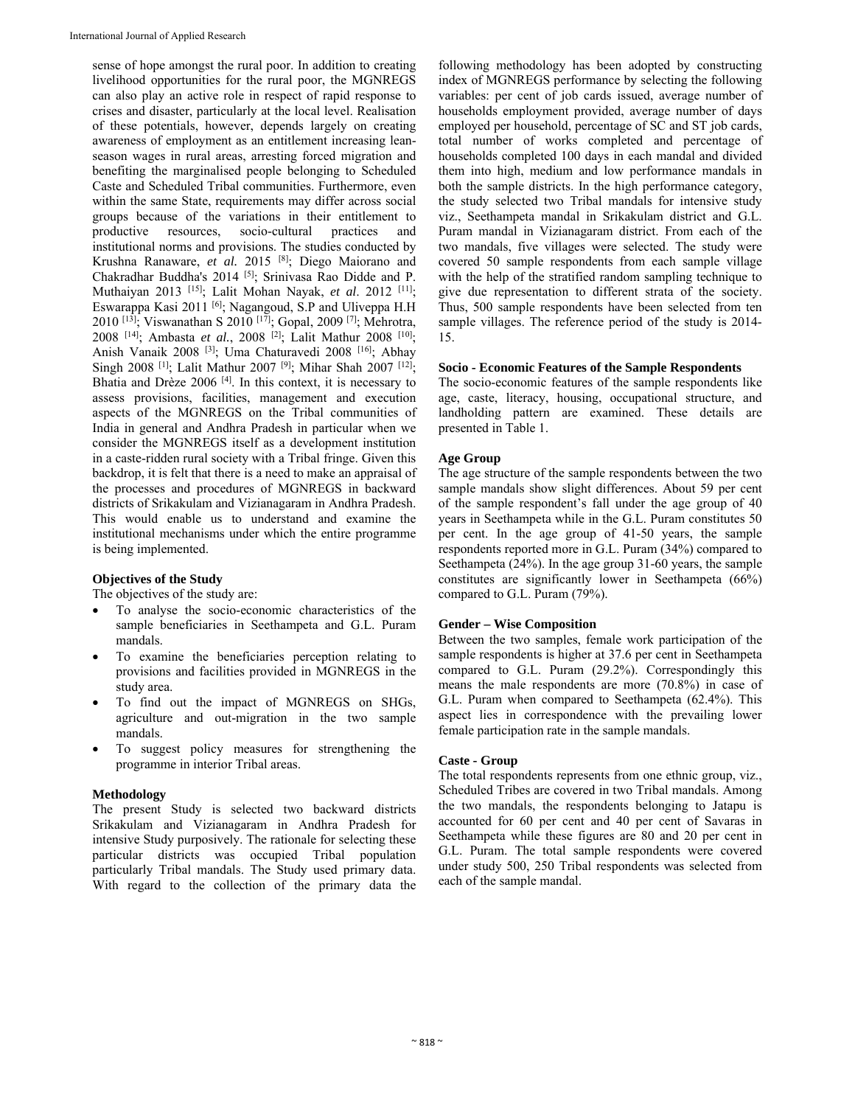sense of hope amongst the rural poor. In addition to creating livelihood opportunities for the rural poor, the MGNREGS can also play an active role in respect of rapid response to crises and disaster, particularly at the local level. Realisation of these potentials, however, depends largely on creating awareness of employment as an entitlement increasing leanseason wages in rural areas, arresting forced migration and benefiting the marginalised people belonging to Scheduled Caste and Scheduled Tribal communities. Furthermore, even within the same State, requirements may differ across social groups because of the variations in their entitlement to productive resources, socio-cultural practices and institutional norms and provisions. The studies conducted by Krushna Ranaware, *et al.* 2015 [8]; Diego Maiorano and Chakradhar Buddha's 2014 [5]; Srinivasa Rao Didde and P. Muthaiyan 2013 [15]; Lalit Mohan Nayak, *et al*. 2012 [11]; Eswarappa Kasi 2011 [6]; Nagangoud, S.P and Uliveppa H.H 2010 [13]; Viswanathan S 2010 [17]; Gopal, 2009 [7]; Mehrotra, 2008 [14]; Ambasta *et al.*, 2008 [2]; Lalit Mathur 2008 [10]; Anish Vanaik 2008 [3]; Uma Chaturavedi 2008 [16]; Abhay Singh 2008<sup>[1]</sup>; Lalit Mathur 2007<sup>[9]</sup>; Mihar Shah 2007<sup>[12]</sup>; Bhatia and Drèze 2006 [4]. In this context, it is necessary to assess provisions, facilities, management and execution aspects of the MGNREGS on the Tribal communities of India in general and Andhra Pradesh in particular when we consider the MGNREGS itself as a development institution in a caste-ridden rural society with a Tribal fringe. Given this backdrop, it is felt that there is a need to make an appraisal of the processes and procedures of MGNREGS in backward districts of Srikakulam and Vizianagaram in Andhra Pradesh. This would enable us to understand and examine the institutional mechanisms under which the entire programme is being implemented.

#### **Objectives of the Study**

The objectives of the study are:

- To analyse the socio-economic characteristics of the sample beneficiaries in Seethampeta and G.L. Puram mandals.
- To examine the beneficiaries perception relating to provisions and facilities provided in MGNREGS in the study area.
- To find out the impact of MGNREGS on SHGs, agriculture and out-migration in the two sample mandals.
- To suggest policy measures for strengthening the programme in interior Tribal areas.

#### **Methodology**

The present Study is selected two backward districts Srikakulam and Vizianagaram in Andhra Pradesh for intensive Study purposively. The rationale for selecting these particular districts was occupied Tribal population particularly Tribal mandals. The Study used primary data. With regard to the collection of the primary data the

following methodology has been adopted by constructing index of MGNREGS performance by selecting the following variables: per cent of job cards issued, average number of households employment provided, average number of days employed per household, percentage of SC and ST job cards, total number of works completed and percentage of households completed 100 days in each mandal and divided them into high, medium and low performance mandals in both the sample districts. In the high performance category, the study selected two Tribal mandals for intensive study viz., Seethampeta mandal in Srikakulam district and G.L. Puram mandal in Vizianagaram district. From each of the two mandals, five villages were selected. The study were covered 50 sample respondents from each sample village with the help of the stratified random sampling technique to give due representation to different strata of the society. Thus, 500 sample respondents have been selected from ten sample villages. The reference period of the study is 2014- 15.

#### **Socio - Economic Features of the Sample Respondents**

The socio-economic features of the sample respondents like age, caste, literacy, housing, occupational structure, and landholding pattern are examined. These details are presented in Table 1.

#### **Age Group**

The age structure of the sample respondents between the two sample mandals show slight differences. About 59 per cent of the sample respondent's fall under the age group of 40 years in Seethampeta while in the G.L. Puram constitutes 50 per cent. In the age group of 41-50 years, the sample respondents reported more in G.L. Puram (34%) compared to Seethampeta (24%). In the age group 31-60 years, the sample constitutes are significantly lower in Seethampeta (66%) compared to G.L. Puram (79%).

#### **Gender – Wise Composition**

Between the two samples, female work participation of the sample respondents is higher at 37.6 per cent in Seethampeta compared to G.L. Puram (29.2%). Correspondingly this means the male respondents are more (70.8%) in case of G.L. Puram when compared to Seethampeta (62.4%). This aspect lies in correspondence with the prevailing lower female participation rate in the sample mandals.

#### **Caste - Group**

The total respondents represents from one ethnic group, viz., Scheduled Tribes are covered in two Tribal mandals. Among the two mandals, the respondents belonging to Jatapu is accounted for 60 per cent and 40 per cent of Savaras in Seethampeta while these figures are 80 and 20 per cent in G.L. Puram. The total sample respondents were covered under study 500, 250 Tribal respondents was selected from each of the sample mandal.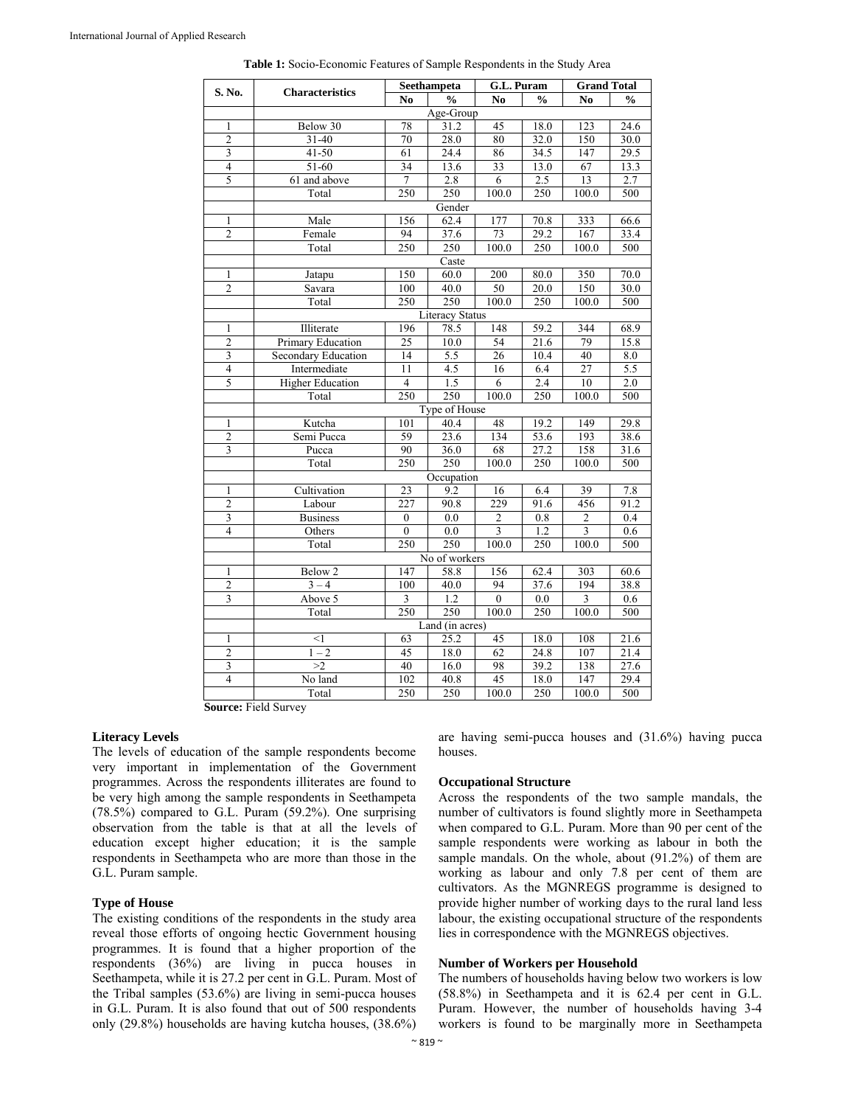|                         |                         |                  | Seethampeta            |                         | G.L. Puram    |                | <b>Grand Total</b> |  |
|-------------------------|-------------------------|------------------|------------------------|-------------------------|---------------|----------------|--------------------|--|
| S. No.                  | <b>Characteristics</b>  | N <sub>0</sub>   | $\frac{0}{0}$          | N <sub>0</sub>          | $\frac{0}{0}$ | N <sub>0</sub> | $\frac{6}{9}$      |  |
|                         |                         |                  | Age-Group              |                         |               |                |                    |  |
| 1                       | Below 30                | 78               | 31.2                   | 45                      | 18.0          | 123            | 24.6               |  |
| $\overline{2}$          | $31 - 40$               | 70               | 28.0                   | 80                      | 32.0          | 150            | 30.0               |  |
| $\overline{\mathbf{3}}$ | $41 - 50$               | 61               | 24.4                   | 86                      | 34.5          | 147            | 29.5               |  |
| $\overline{4}$          | 51-60                   | 34               | 13.6                   | 33                      | 13.0          | 67             | 13.3               |  |
| 5                       | 61 and above            | 7                | 2.8                    | $\overline{6}$          | 2.5           | 13             | 2.7                |  |
|                         | Total                   | 250              | 250                    | 100.0                   | 250           | 100.0          | 500                |  |
|                         |                         |                  | Gender                 |                         |               |                |                    |  |
| 1                       | Male                    | 156              | 62.4                   | 177                     | 70.8          | 333            | 66.6               |  |
| $\overline{c}$          | Female                  | 94               | 37.6                   | 73                      | 29.2          | 167            | 33.4               |  |
|                         | Total                   | 250              | 250                    | 100.0                   | 250           | 100.0          | 500                |  |
|                         |                         |                  | Caste                  |                         |               |                |                    |  |
| $\mathbf{1}$            | Jatapu                  | 150              | 60.0                   | 200                     | 80.0          | 350            | 70.0               |  |
| $\overline{2}$          | Savara                  | 100              | 40.0                   | 50                      | 20.0          | 150            | 30.0               |  |
|                         | Total                   | 250              | 250                    | 100.0                   | 250           | 100.0          | 500                |  |
|                         |                         |                  | <b>Literacy Status</b> |                         |               |                |                    |  |
| 1                       | Illiterate              | 196              | 78.5                   | 148                     | 59.2          | 344            | 68.9               |  |
| $\overline{2}$          | Primary Education       | $\overline{25}$  | 10.0                   | 54                      | 21.6          | 79             | 15.8               |  |
| $\overline{3}$          | Secondary Education     | 14               | 5.5                    | 26                      | 10.4          | 40             | 8.0                |  |
| $\overline{4}$          | Intermediate            | 11               | 4.5                    | 16                      | 6.4           | 27             | 5.5                |  |
| 5                       | <b>Higher Education</b> | $\overline{4}$   | 1.5                    | 6                       | 2.4           | 10             | 2.0                |  |
|                         | Total                   | 250              | 250                    | 100.0                   | 250           | 100.0          | 500                |  |
|                         |                         |                  | Type of House          |                         |               |                |                    |  |
| $\mathbf{1}$            | Kutcha                  | 101              | 40.4                   | 48                      | 19.2          | 149            | 29.8               |  |
| $\overline{2}$          | Semi Pucca              | 59               | 23.6                   | 134                     | 53.6          | 193            | 38.6               |  |
| 3                       | Pucca                   | 90               | 36.0                   | 68                      | 27.2          | 158            | 31.6               |  |
|                         | Total                   | 250              | 250                    | 100.0                   | 250           | 100.0          | 500                |  |
|                         |                         |                  | Occupation             |                         |               |                |                    |  |
| $\mathbf{1}$            | Cultivation             | 23               | 9.2                    | 16                      | 6.4           | 39             | 7.8                |  |
| $\overline{2}$          | Labour                  | $\overline{227}$ | 90.8                   | 229                     | 91.6          | 456            | 91.2               |  |
| $\mathfrak{Z}$          | <b>Business</b>         | $\boldsymbol{0}$ | 0.0                    | $\sqrt{2}$              | 0.8           | $\overline{2}$ | 0.4                |  |
| $\overline{4}$          | Others                  | $\mathbf{0}$     | 0.0                    | $\overline{\mathbf{3}}$ | 1.2           | $\overline{3}$ | 0.6                |  |
|                         | Total                   | 250              | 250                    | 100.0                   | 250           | 100.0          | 500                |  |
|                         |                         |                  | No of workers          |                         |               |                |                    |  |
| 1                       | Below <sub>2</sub>      | 147              | 58.8                   | 156                     | 62.4          | 303            | 60.6               |  |
| $\overline{2}$          | $3 - 4$                 | 100              | 40.0                   | 94                      | 37.6          | 194            | 38.8               |  |
| 3                       | Above 5                 | 3                | 1.2                    | $\theta$                | 0.0           | 3              | 0.6                |  |
|                         | Total                   | 250              | 250                    | 100.0                   | 250           | 100.0          | 500                |  |
|                         |                         |                  | Land (in acres)        |                         |               |                |                    |  |
| 1                       | $<$ 1                   | 63               | 25.2                   | 45                      | 18.0          | 108            | 21.6               |  |
| $\overline{c}$          | $1 - 2$                 | 45               | 18.0                   | 62                      | 24.8          | 107            | 21.4               |  |
| 3                       | >2                      | 40               | 16.0                   | 98                      | 39.2          | 138            | 27.6               |  |
| $\overline{4}$          | No land                 | 102              | 40.8                   | 45                      | 18.0          | 147            | 29.4               |  |
|                         | Total                   | 250              | 250                    | 100.0                   | 250           | 100.0          | 500                |  |

**Table 1:** Socio-Economic Features of Sample Respondents in the Study Area

 **Source:** Field Survey

#### **Literacy Levels**

The levels of education of the sample respondents become very important in implementation of the Government programmes. Across the respondents illiterates are found to be very high among the sample respondents in Seethampeta (78.5%) compared to G.L. Puram (59.2%). One surprising observation from the table is that at all the levels of education except higher education; it is the sample respondents in Seethampeta who are more than those in the G.L. Puram sample.

#### **Type of House**

The existing conditions of the respondents in the study area reveal those efforts of ongoing hectic Government housing programmes. It is found that a higher proportion of the respondents (36%) are living in pucca houses in Seethampeta, while it is 27.2 per cent in G.L. Puram. Most of the Tribal samples (53.6%) are living in semi-pucca houses in G.L. Puram. It is also found that out of 500 respondents only (29.8%) households are having kutcha houses, (38.6%)

are having semi-pucca houses and (31.6%) having pucca houses.

#### **Occupational Structure**

Across the respondents of the two sample mandals, the number of cultivators is found slightly more in Seethampeta when compared to G.L. Puram. More than 90 per cent of the sample respondents were working as labour in both the sample mandals. On the whole, about (91.2%) of them are working as labour and only 7.8 per cent of them are cultivators. As the MGNREGS programme is designed to provide higher number of working days to the rural land less labour, the existing occupational structure of the respondents lies in correspondence with the MGNREGS objectives.

#### **Number of Workers per Household**

The numbers of households having below two workers is low (58.8%) in Seethampeta and it is 62.4 per cent in G.L. Puram. However, the number of households having 3-4 workers is found to be marginally more in Seethampeta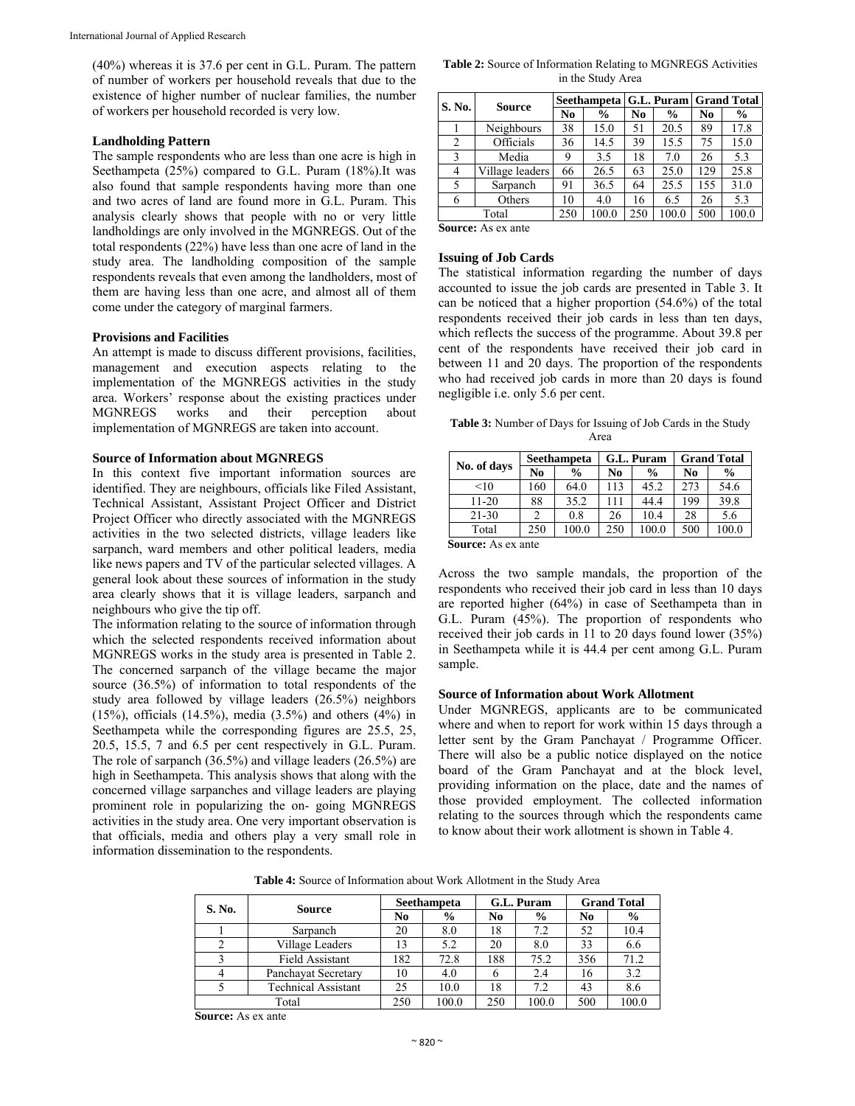(40%) whereas it is 37.6 per cent in G.L. Puram. The pattern of number of workers per household reveals that due to the existence of higher number of nuclear families, the number of workers per household recorded is very low.

#### **Landholding Pattern**

The sample respondents who are less than one acre is high in Seethampeta (25%) compared to G.L. Puram (18%).It was also found that sample respondents having more than one and two acres of land are found more in G.L. Puram. This analysis clearly shows that people with no or very little landholdings are only involved in the MGNREGS. Out of the total respondents (22%) have less than one acre of land in the study area. The landholding composition of the sample respondents reveals that even among the landholders, most of them are having less than one acre, and almost all of them come under the category of marginal farmers.

#### **Provisions and Facilities**

An attempt is made to discuss different provisions, facilities, management and execution aspects relating to the implementation of the MGNREGS activities in the study area. Workers' response about the existing practices under MGNREGS works and their perception about implementation of MGNREGS are taken into account.

#### **Source of Information about MGNREGS**

In this context five important information sources are identified. They are neighbours, officials like Filed Assistant, Technical Assistant, Assistant Project Officer and District Project Officer who directly associated with the MGNREGS activities in the two selected districts, village leaders like sarpanch, ward members and other political leaders, media like news papers and TV of the particular selected villages. A general look about these sources of information in the study area clearly shows that it is village leaders, sarpanch and neighbours who give the tip off.

The information relating to the source of information through which the selected respondents received information about MGNREGS works in the study area is presented in Table 2. The concerned sarpanch of the village became the major source (36.5%) of information to total respondents of the study area followed by village leaders (26.5%) neighbors (15%), officials (14.5%), media (3.5%) and others (4%) in Seethampeta while the corresponding figures are 25.5, 25, 20.5, 15.5, 7 and 6.5 per cent respectively in G.L. Puram. The role of sarpanch (36.5%) and village leaders (26.5%) are high in Seethampeta. This analysis shows that along with the concerned village sarpanches and village leaders are playing prominent role in popularizing the on- going MGNREGS activities in the study area. One very important observation is that officials, media and others play a very small role in information dissemination to the respondents.

**Table 2:** Source of Information Relating to MGNREGS Activities in the Study Area

| S. No. | <b>Source</b>   | Seethampeta   G.L. Puram   Grand Total |               |     |               |                |               |  |
|--------|-----------------|----------------------------------------|---------------|-----|---------------|----------------|---------------|--|
|        |                 | N <sub>0</sub>                         | $\frac{6}{9}$ | No  | $\frac{0}{0}$ | N <sub>0</sub> | $\frac{6}{6}$ |  |
|        | Neighbours      | 38                                     | 15.0          | 51  | 20.5          | 89             | 17.8          |  |
| 2      | Officials       | 36                                     | 14.5          | 39  | 15.5          | 75             | 15.0          |  |
| 3      | Media           | 9                                      | 3.5           | 18  | 7.0           | 26             | 5.3           |  |
| 4      | Village leaders | 66                                     | 26.5          | 63  | 25.0          | 129            | 25.8          |  |
| 5      | Sarpanch        | 91                                     | 36.5          | 64  | 25.5          | 155            | 31.0          |  |
| 6      | Others          | 10                                     | 4.0           | 16  | 6.5           | 26             | 5.3           |  |
|        | Total           | 250                                    | 100.0         | 250 | 100.0         | 500            | 100.0         |  |

**Source:** As ex ante

#### **Issuing of Job Cards**

The statistical information regarding the number of days accounted to issue the job cards are presented in Table 3. It can be noticed that a higher proportion (54.6%) of the total respondents received their job cards in less than ten days, which reflects the success of the programme. About 39.8 per cent of the respondents have received their job card in between 11 and 20 days. The proportion of the respondents who had received job cards in more than 20 days is found negligible i.e. only 5.6 per cent.

**Table 3:** Number of Days for Issuing of Job Cards in the Study Area

| No. of days       | <b>Seethampeta</b> |               |     | G.L. Puram    | <b>Grand Total</b> |               |  |
|-------------------|--------------------|---------------|-----|---------------|--------------------|---------------|--|
|                   | No                 | $\frac{6}{9}$ | No  | $\frac{0}{0}$ | No                 | $\frac{0}{0}$ |  |
| <10               | 160                | 64.0          | 113 | 45.2          | 273                | 54.6          |  |
| 11-20             | 88                 | 35.2          | 111 | 44.4          | 199                | 39.8          |  |
| $21 - 30$         |                    | 0.8           | 26  | 10.4          | 28                 | 5.6           |  |
| Total             | 250                | 100.0         | 250 | 100.0         | 500                | 100.0         |  |
| Common Assessment |                    |               |     |               |                    |               |  |

**Source:** As ex ante

Across the two sample mandals, the proportion of the respondents who received their job card in less than 10 days are reported higher (64%) in case of Seethampeta than in G.L. Puram (45%). The proportion of respondents who received their job cards in 11 to 20 days found lower (35%) in Seethampeta while it is 44.4 per cent among G.L. Puram sample.

#### **Source of Information about Work Allotment**

Under MGNREGS, applicants are to be communicated where and when to report for work within 15 days through a letter sent by the Gram Panchayat / Programme Officer. There will also be a public notice displayed on the notice board of the Gram Panchayat and at the block level, providing information on the place, date and the names of those provided employment. The collected information relating to the sources through which the respondents came to know about their work allotment is shown in Table 4.

**Table 4:** Source of Information about Work Allotment in the Study Area

| S. No. | <b>Source</b>              | Seethampeta    |       | G.L. Puram     |       | <b>Grand Total</b> |       |
|--------|----------------------------|----------------|-------|----------------|-------|--------------------|-------|
|        |                            | N <sub>0</sub> | $\%$  | N <sub>0</sub> | $\%$  | N <sub>0</sub>     | $\%$  |
|        | Sarpanch                   | 20             | 8.0   | 18             | 7.2   | 52                 | 10.4  |
|        | Village Leaders            | 13             | 5.2   | 20             | 8.0   | 33                 | 6.6   |
|        | Field Assistant            | 182            | 72.8  | 188            | 75.2  | 356                | 71.2  |
|        | Panchavat Secretary        | 10             | 4.0   | 6              | 2.4   | 16                 | 3.2   |
|        | <b>Technical Assistant</b> | 25             | 10.0  | 18             | 7.2   | 43                 | 8.6   |
|        | Total                      | 250            | 100.0 | 250            | 100.0 | 500                | 100.0 |

**Source:** As ex ante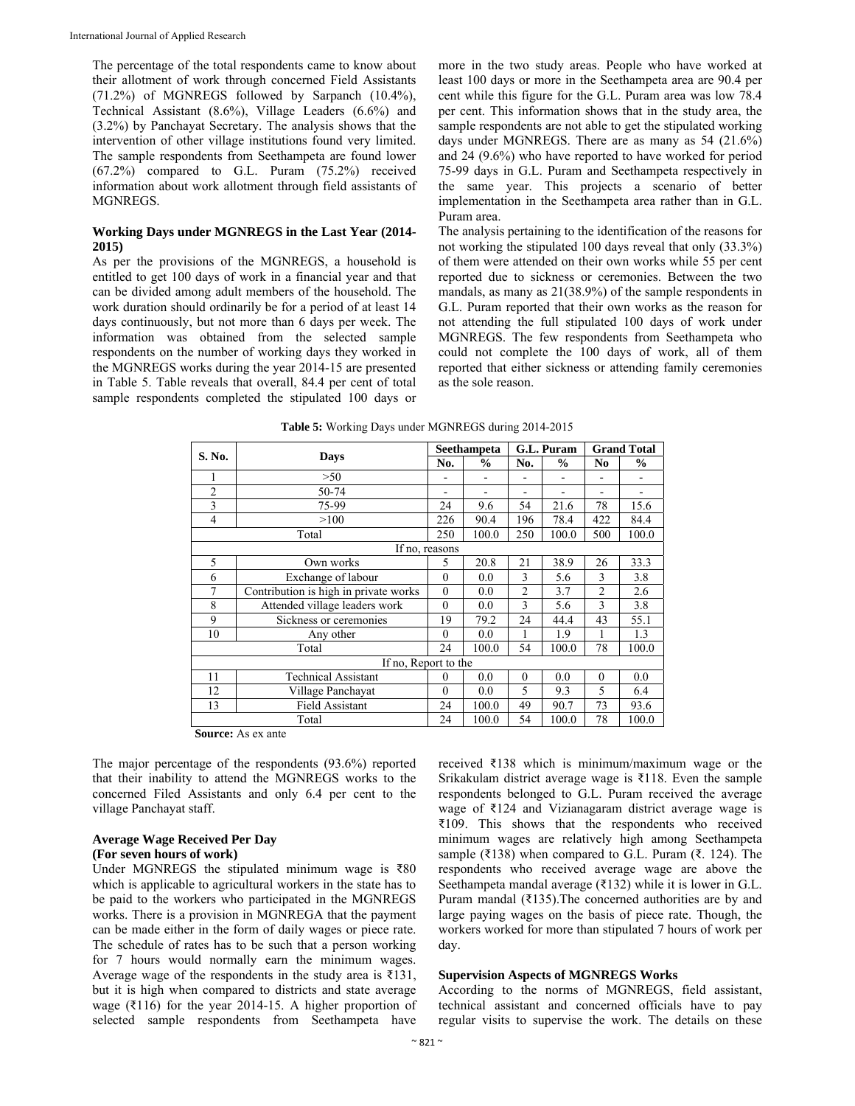The percentage of the total respondents came to know about their allotment of work through concerned Field Assistants (71.2%) of MGNREGS followed by Sarpanch (10.4%), Technical Assistant (8.6%), Village Leaders (6.6%) and (3.2%) by Panchayat Secretary. The analysis shows that the intervention of other village institutions found very limited. The sample respondents from Seethampeta are found lower (67.2%) compared to G.L. Puram (75.2%) received information about work allotment through field assistants of MGNREGS.

#### **Working Days under MGNREGS in the Last Year (2014- 2015)**

As per the provisions of the MGNREGS, a household is entitled to get 100 days of work in a financial year and that can be divided among adult members of the household. The work duration should ordinarily be for a period of at least 14 days continuously, but not more than 6 days per week. The information was obtained from the selected sample respondents on the number of working days they worked in the MGNREGS works during the year 2014-15 are presented in Table 5. Table reveals that overall, 84.4 per cent of total sample respondents completed the stipulated 100 days or more in the two study areas. People who have worked at least 100 days or more in the Seethampeta area are 90.4 per cent while this figure for the G.L. Puram area was low 78.4 per cent. This information shows that in the study area, the sample respondents are not able to get the stipulated working days under MGNREGS. There are as many as 54 (21.6%) and 24 (9.6%) who have reported to have worked for period 75-99 days in G.L. Puram and Seethampeta respectively in the same year. This projects a scenario of better implementation in the Seethampeta area rather than in G.L. Puram area.

The analysis pertaining to the identification of the reasons for not working the stipulated 100 days reveal that only (33.3%) of them were attended on their own works while 55 per cent reported due to sickness or ceremonies. Between the two mandals, as many as 21(38.9%) of the sample respondents in G.L. Puram reported that their own works as the reason for not attending the full stipulated 100 days of work under MGNREGS. The few respondents from Seethampeta who could not complete the 100 days of work, all of them reported that either sickness or attending family ceremonies as the sole reason.

| S. No.         |                                       |                | Seethampeta | G.L. Puram     |       | <b>Grand Total</b> |       |
|----------------|---------------------------------------|----------------|-------------|----------------|-------|--------------------|-------|
|                | Days                                  | No.            | $\%$        | No.            | $\%$  | N <sub>0</sub>     | $\%$  |
|                | >50                                   |                |             |                |       |                    |       |
| $\overline{c}$ | 50-74                                 | -              |             |                |       |                    |       |
| 3              | 75-99                                 | 24             | 9.6         | 54             | 21.6  | 78                 | 15.6  |
| 4              | >100                                  | 226            | 90.4        | 196            | 78.4  | 422                | 84.4  |
|                | Total                                 | 250            | 100.0       | 250            | 100.0 | 500                | 100.0 |
|                | If no, reasons                        |                |             |                |       |                    |       |
| 5              | Own works                             | 5              | 20.8        | 21             | 38.9  | 26                 | 33.3  |
| 6              | Exchange of labour                    | $\theta$       | 0.0         | $\mathbf{3}$   | 5.6   | 3                  | 3.8   |
| 7              | Contribution is high in private works |                | 0.0         | $\overline{2}$ | 3.7   | $\overline{2}$     | 2.6   |
| 8              | Attended village leaders work         | $\theta$       | 0.0         | 3              | 5.6   | 3                  | 3.8   |
| 9              | Sickness or ceremonies                | 19             | 79.2        | 24             | 44.4  | 43                 | 55.1  |
| 10             | Any other                             | $\theta$       | 0.0         | 1              | 1.9   | 1                  | 1.3   |
|                | Total                                 | 24             | 100.0       | 54             | 100.0 | 78                 | 100.0 |
|                | If no, Report to the                  |                |             |                |       |                    |       |
| 11             | <b>Technical Assistant</b>            | $\overline{0}$ | 0.0         | $\theta$       | 0.0   | $\theta$           | 0.0   |
| 12             | Village Panchayat                     | $\theta$       | 0.0         | 5              | 9.3   | 5                  | 6.4   |
| 13             | <b>Field Assistant</b>                |                | 100.0       | 49             | 90.7  | 73                 | 93.6  |
|                | Total                                 | 24             | 100.0       | 54             | 100.0 | 78                 | 100.0 |

| <b>Table 5:</b> Working Days under MGNREGS during 2014-2015 |  |
|-------------------------------------------------------------|--|
|                                                             |  |

**Source:** As ex ante

The major percentage of the respondents (93.6%) reported that their inability to attend the MGNREGS works to the concerned Filed Assistants and only 6.4 per cent to the village Panchayat staff.

## **Average Wage Received Per Day**

### **(For seven hours of work)**

Under MGNREGS the stipulated minimum wage is ₹80 which is applicable to agricultural workers in the state has to be paid to the workers who participated in the MGNREGS works. There is a provision in MGNREGA that the payment can be made either in the form of daily wages or piece rate. The schedule of rates has to be such that a person working for 7 hours would normally earn the minimum wages. Average wage of the respondents in the study area is ₹131, but it is high when compared to districts and state average wage (₹116) for the year 2014-15. A higher proportion of selected sample respondents from Seethampeta have

received ₹138 which is minimum/maximum wage or the Srikakulam district average wage is ₹118. Even the sample respondents belonged to G.L. Puram received the average wage of ₹124 and Vizianagaram district average wage is ₹109. This shows that the respondents who received minimum wages are relatively high among Seethampeta sample (₹138) when compared to G.L. Puram (₹. 124). The respondents who received average wage are above the Seethampeta mandal average (₹132) while it is lower in G.L. Puram mandal (₹135).The concerned authorities are by and large paying wages on the basis of piece rate. Though, the workers worked for more than stipulated 7 hours of work per day.

#### **Supervision Aspects of MGNREGS Works**

According to the norms of MGNREGS, field assistant, technical assistant and concerned officials have to pay regular visits to supervise the work. The details on these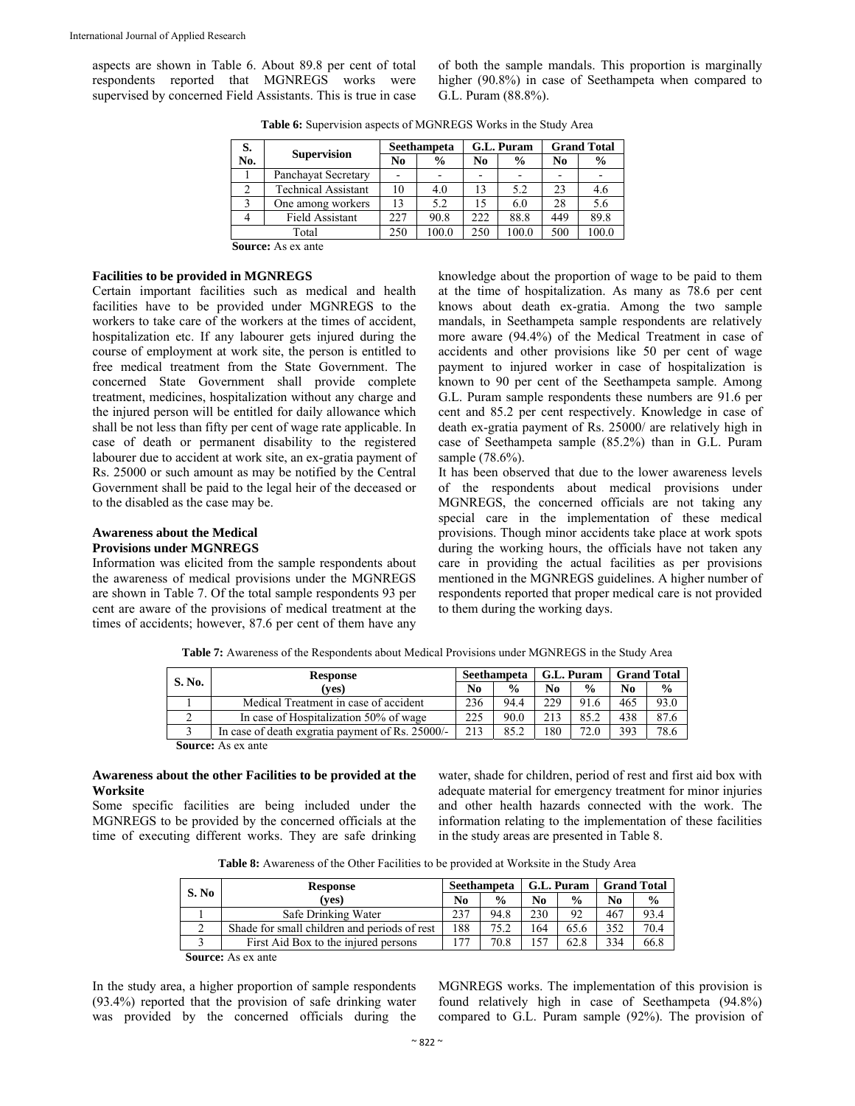aspects are shown in Table 6. About 89.8 per cent of total respondents reported that MGNREGS works were supervised by concerned Field Assistants. This is true in case of both the sample mandals. This proportion is marginally higher (90.8%) in case of Seethampeta when compared to G.L. Puram (88.8%).

| S.  |                            |     | Seethampeta   |     | G.L. Puram    | <b>Grand Total</b> |               |
|-----|----------------------------|-----|---------------|-----|---------------|--------------------|---------------|
| No. | <b>Supervision</b>         | No  | $\frac{0}{0}$ | No  | $\frac{0}{0}$ | N <sub>0</sub>     | $\frac{6}{9}$ |
|     | Panchayat Secretary        |     |               |     |               |                    |               |
|     | <b>Technical Assistant</b> | 10  | 4.0           | 13  | 5.2           | 23                 | 4.6           |
| 3   | One among workers          | 13  | 5.2           | 15  | 6.0           | 28                 | 5.6           |
|     | <b>Field Assistant</b>     | 227 | 90.8          | 222 | 88.8          | 449                | 89.8          |
|     | Total                      | 250 | 100.0         | 250 | 100.0         | 500                | 100.0         |
|     |                            |     |               |     |               |                    |               |

**Table 6:** Supervision aspects of MGNREGS Works in the Study Area

**Source:** As ex ante

#### **Facilities to be provided in MGNREGS**

Certain important facilities such as medical and health facilities have to be provided under MGNREGS to the workers to take care of the workers at the times of accident, hospitalization etc. If any labourer gets injured during the course of employment at work site, the person is entitled to free medical treatment from the State Government. The concerned State Government shall provide complete treatment, medicines, hospitalization without any charge and the injured person will be entitled for daily allowance which shall be not less than fifty per cent of wage rate applicable. In case of death or permanent disability to the registered labourer due to accident at work site, an ex-gratia payment of Rs. 25000 or such amount as may be notified by the Central Government shall be paid to the legal heir of the deceased or to the disabled as the case may be.

## **Awareness about the Medical**

#### **Provisions under MGNREGS**

Information was elicited from the sample respondents about the awareness of medical provisions under the MGNREGS are shown in Table 7. Of the total sample respondents 93 per cent are aware of the provisions of medical treatment at the times of accidents; however, 87.6 per cent of them have any knowledge about the proportion of wage to be paid to them at the time of hospitalization. As many as 78.6 per cent knows about death ex-gratia. Among the two sample mandals, in Seethampeta sample respondents are relatively more aware (94.4%) of the Medical Treatment in case of accidents and other provisions like 50 per cent of wage payment to injured worker in case of hospitalization is known to 90 per cent of the Seethampeta sample. Among G.L. Puram sample respondents these numbers are 91.6 per cent and 85.2 per cent respectively. Knowledge in case of death ex-gratia payment of Rs. 25000/ are relatively high in case of Seethampeta sample (85.2%) than in G.L. Puram sample (78.6%).

It has been observed that due to the lower awareness levels of the respondents about medical provisions under MGNREGS, the concerned officials are not taking any special care in the implementation of these medical provisions. Though minor accidents take place at work spots during the working hours, the officials have not taken any care in providing the actual facilities as per provisions mentioned in the MGNREGS guidelines. A higher number of respondents reported that proper medical care is not provided to them during the working days.

**S. No. Response (yes) Seethampeta | G.L. Puram | Grand Total No % No % No %**  1 Medical Treatment in case of accident 236 94.4 229 91.6 465 93.0<br>2 In case of Hospitalization 50% of wage 225 90.0 213 85.2 438 87.6 2 In case of Hospitalization 50% of wage 225 90.0 213 85.2 438 87.6<br>3 In case of death exgratia payment of Rs. 25000/- 213 85.2 180 72.0 393 78.6 3 In case of death exgratia payment of Rs. 25000/- 213 85.2 180 72.0 393 78.6

**Table 7:** Awareness of the Respondents about Medical Provisions under MGNREGS in the Study Area

**Source:** As ex ante

#### **Awareness about the other Facilities to be provided at the Worksite**

Some specific facilities are being included under the MGNREGS to be provided by the concerned officials at the time of executing different works. They are safe drinking

water, shade for children, period of rest and first aid box with adequate material for emergency treatment for minor injuries and other health hazards connected with the work. The information relating to the implementation of these facilities in the study areas are presented in Table 8.

**Table 8:** Awareness of the Other Facilities to be provided at Worksite in the Study Area

| S. No | <b>Response</b>                              |     | Seethampeta   |     | G.L. Puram    |     | <b>Grand Total</b> |  |
|-------|----------------------------------------------|-----|---------------|-----|---------------|-----|--------------------|--|
|       | (ves)                                        | No  | $\frac{0}{0}$ | No. | $\frac{0}{0}$ | No  | $\frac{0}{0}$      |  |
|       | Safe Drinking Water                          | 237 | 94.8          | 230 | 92            | 467 | 93.4               |  |
|       | Shade for small children and periods of rest |     | 75.2          | 164 | 65.6          | 352 | 70.4               |  |
|       | First Aid Box to the injured persons         |     | 70.8          | 157 | 62.8          | 334 | 66.8               |  |

**Source:** As ex ante

In the study area, a higher proportion of sample respondents (93.4%) reported that the provision of safe drinking water was provided by the concerned officials during the MGNREGS works. The implementation of this provision is found relatively high in case of Seethampeta (94.8%) compared to G.L. Puram sample (92%). The provision of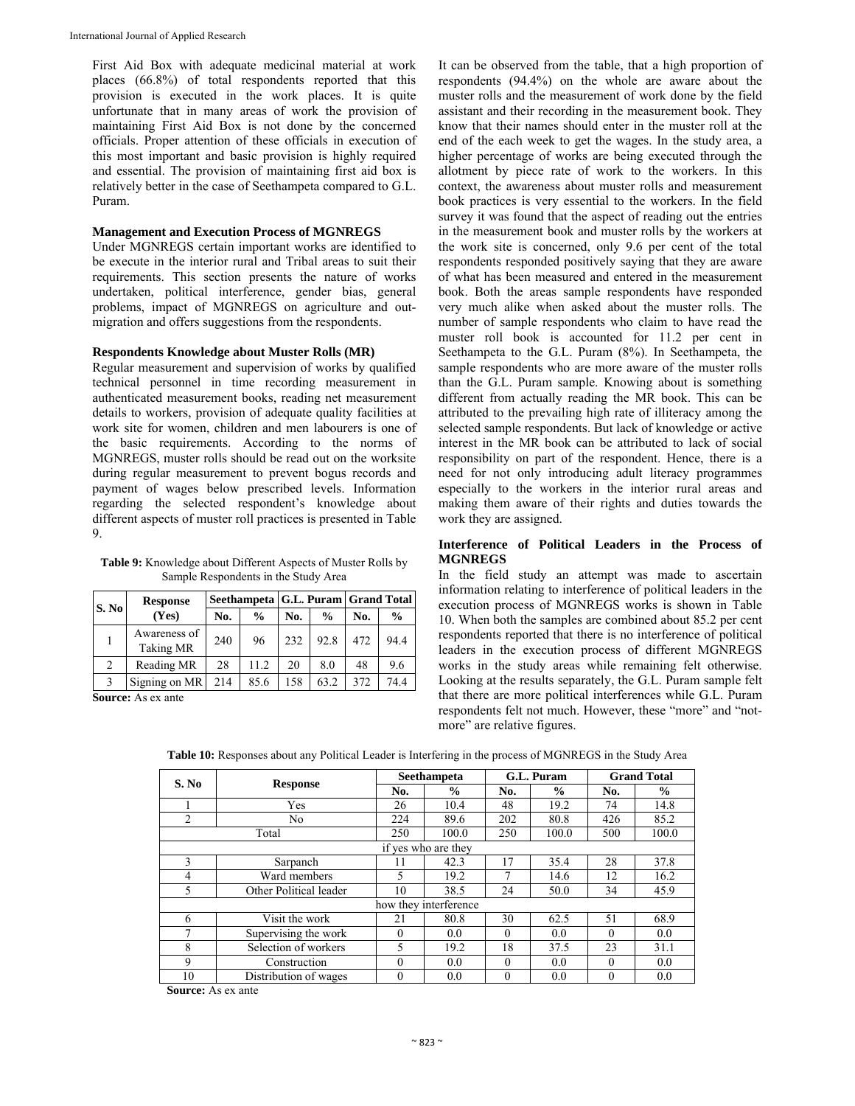First Aid Box with adequate medicinal material at work places (66.8%) of total respondents reported that this provision is executed in the work places. It is quite unfortunate that in many areas of work the provision of maintaining First Aid Box is not done by the concerned officials. Proper attention of these officials in execution of this most important and basic provision is highly required and essential. The provision of maintaining first aid box is relatively better in the case of Seethampeta compared to G.L. Puram.

#### **Management and Execution Process of MGNREGS**

Under MGNREGS certain important works are identified to be execute in the interior rural and Tribal areas to suit their requirements. This section presents the nature of works undertaken, political interference, gender bias, general problems, impact of MGNREGS on agriculture and outmigration and offers suggestions from the respondents.

#### **Respondents Knowledge about Muster Rolls (MR)**

Regular measurement and supervision of works by qualified technical personnel in time recording measurement in authenticated measurement books, reading net measurement details to workers, provision of adequate quality facilities at work site for women, children and men labourers is one of the basic requirements. According to the norms of MGNREGS, muster rolls should be read out on the worksite during regular measurement to prevent bogus records and payment of wages below prescribed levels. Information regarding the selected respondent's knowledge about different aspects of muster roll practices is presented in Table 9.

| <b>Table 9:</b> Knowledge about Different Aspects of Muster Rolls by |
|----------------------------------------------------------------------|
| Sample Respondents in the Study Area                                 |

| S. No | <b>Response</b>                  | Seethampeta   G.L. Puram   Grand Total |               |     |               |     |               |  |
|-------|----------------------------------|----------------------------------------|---------------|-----|---------------|-----|---------------|--|
|       | (Yes)                            | No.                                    | $\frac{0}{0}$ | No. | $\frac{0}{0}$ | No. | $\frac{0}{0}$ |  |
|       | Awareness of<br><b>Taking MR</b> | 240                                    | 96            | 232 | 92.8          | 472 | 94.4          |  |
| 2     | Reading MR                       | 28                                     | 11.2          | 20  | 8.0           | 48  | 9.6           |  |
| 3     | Signing on MR                    | 214                                    | 85.6          | 158 | 63.2          | 372 | 74.4          |  |

**Source:** As ex ante

It can be observed from the table, that a high proportion of respondents (94.4%) on the whole are aware about the muster rolls and the measurement of work done by the field assistant and their recording in the measurement book. They know that their names should enter in the muster roll at the end of the each week to get the wages. In the study area, a higher percentage of works are being executed through the allotment by piece rate of work to the workers. In this context, the awareness about muster rolls and measurement book practices is very essential to the workers. In the field survey it was found that the aspect of reading out the entries in the measurement book and muster rolls by the workers at the work site is concerned, only 9.6 per cent of the total respondents responded positively saying that they are aware of what has been measured and entered in the measurement book. Both the areas sample respondents have responded very much alike when asked about the muster rolls. The number of sample respondents who claim to have read the muster roll book is accounted for 11.2 per cent in Seethampeta to the G.L. Puram (8%). In Seethampeta, the sample respondents who are more aware of the muster rolls than the G.L. Puram sample. Knowing about is something different from actually reading the MR book. This can be attributed to the prevailing high rate of illiteracy among the selected sample respondents. But lack of knowledge or active interest in the MR book can be attributed to lack of social responsibility on part of the respondent. Hence, there is a need for not only introducing adult literacy programmes especially to the workers in the interior rural areas and making them aware of their rights and duties towards the work they are assigned.

#### **Interference of Political Leaders in the Process of MGNREGS**

In the field study an attempt was made to ascertain information relating to interference of political leaders in the execution process of MGNREGS works is shown in Table 10. When both the samples are combined about 85.2 per cent respondents reported that there is no interference of political leaders in the execution process of different MGNREGS works in the study areas while remaining felt otherwise. Looking at the results separately, the G.L. Puram sample felt that there are more political interferences while G.L. Puram respondents felt not much. However, these "more" and "notmore" are relative figures.

| S. No |                        |          | <b>Seethampeta</b>    | G.L. Puram |               | <b>Grand Total</b> |               |
|-------|------------------------|----------|-----------------------|------------|---------------|--------------------|---------------|
|       | <b>Response</b>        | No.      | $\frac{0}{0}$         | No.        | $\frac{0}{0}$ | No.                | $\frac{0}{0}$ |
|       | Yes                    | 26       | 10.4                  | 48         | 19.2          | 74                 | 14.8          |
| 2     | No                     | 224      | 89.6                  | 202        | 80.8          | 426                | 85.2          |
|       | Total                  | 250      | 100.0                 | 250        | 100.0         | 500                | 100.0         |
|       |                        |          | if yes who are they   |            |               |                    |               |
| 3     | Sarpanch               | 11       | 42.3                  | 17         | 35.4          | 28                 | 37.8          |
| 4     | Ward members           | 5        | 19.2                  | 7          | 14.6          | 12                 | 16.2          |
| 5     | Other Political leader | 10       | 38.5                  | 24         | 50.0          | 34                 | 45.9          |
|       |                        |          | how they interference |            |               |                    |               |
| 6     | Visit the work         | 21       | 80.8                  | 30         | 62.5          | 51                 | 68.9          |
|       | Supervising the work   | $\theta$ | 0.0                   | $\Omega$   | 0.0           | $\Omega$           | 0.0           |
| 8     | Selection of workers   | 5        | 19.2                  | 18         | 37.5          | 23                 | 31.1          |
| 9     | Construction           | $\theta$ | 0.0                   | $\Omega$   | 0.0           | $\theta$           | 0.0           |
| 10    | Distribution of wages  | $\theta$ | 0.0                   | $\Omega$   | 0.0           | $\theta$           | 0.0           |

**Table 10:** Responses about any Political Leader is Interfering in the process of MGNREGS in the Study Area

**Source:** As ex ante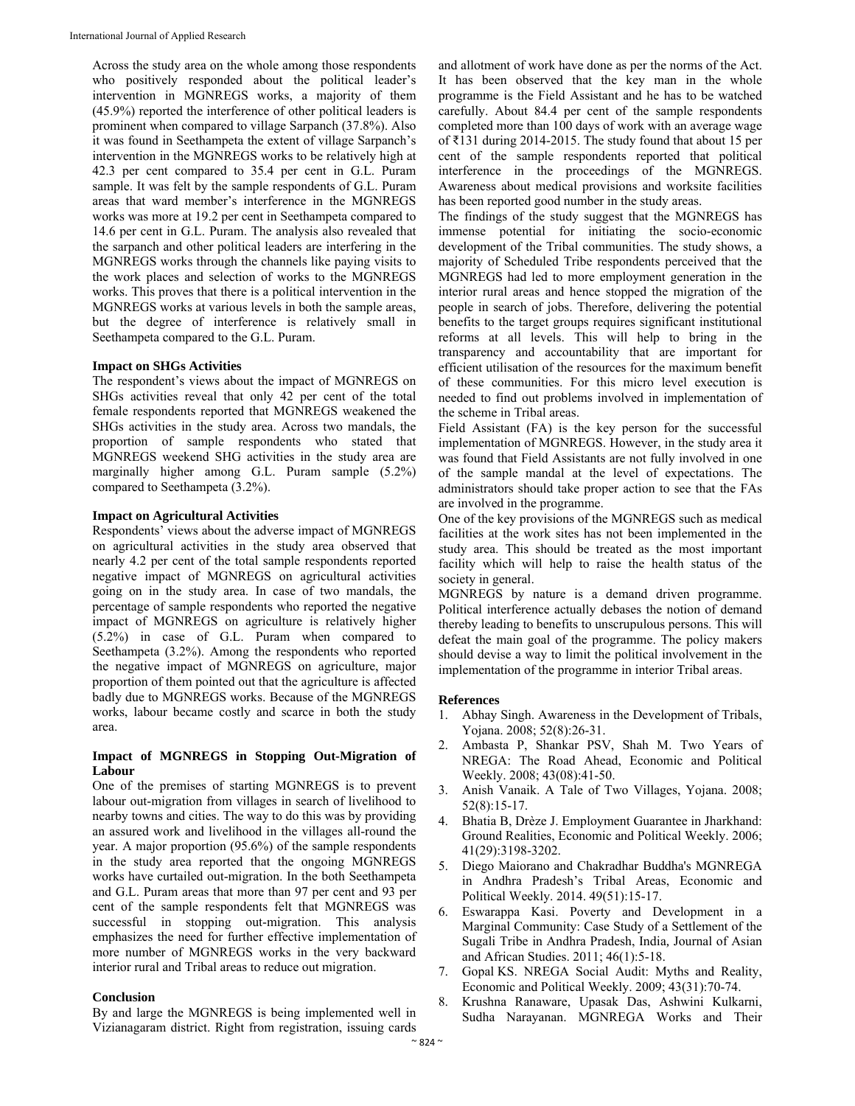Across the study area on the whole among those respondents who positively responded about the political leader's intervention in MGNREGS works, a majority of them (45.9%) reported the interference of other political leaders is prominent when compared to village Sarpanch (37.8%). Also it was found in Seethampeta the extent of village Sarpanch's intervention in the MGNREGS works to be relatively high at 42.3 per cent compared to 35.4 per cent in G.L. Puram sample. It was felt by the sample respondents of G.L. Puram areas that ward member's interference in the MGNREGS works was more at 19.2 per cent in Seethampeta compared to 14.6 per cent in G.L. Puram. The analysis also revealed that the sarpanch and other political leaders are interfering in the MGNREGS works through the channels like paying visits to the work places and selection of works to the MGNREGS works. This proves that there is a political intervention in the MGNREGS works at various levels in both the sample areas, but the degree of interference is relatively small in Seethampeta compared to the G.L. Puram.

#### **Impact on SHGs Activities**

The respondent's views about the impact of MGNREGS on SHGs activities reveal that only 42 per cent of the total female respondents reported that MGNREGS weakened the SHGs activities in the study area. Across two mandals, the proportion of sample respondents who stated that MGNREGS weekend SHG activities in the study area are marginally higher among G.L. Puram sample (5.2%) compared to Seethampeta (3.2%).

#### **Impact on Agricultural Activities**

Respondents' views about the adverse impact of MGNREGS on agricultural activities in the study area observed that nearly 4.2 per cent of the total sample respondents reported negative impact of MGNREGS on agricultural activities going on in the study area. In case of two mandals, the percentage of sample respondents who reported the negative impact of MGNREGS on agriculture is relatively higher (5.2%) in case of G.L. Puram when compared to Seethampeta (3.2%). Among the respondents who reported the negative impact of MGNREGS on agriculture, major proportion of them pointed out that the agriculture is affected badly due to MGNREGS works. Because of the MGNREGS works, labour became costly and scarce in both the study area.

#### **Impact of MGNREGS in Stopping Out-Migration of Labour**

One of the premises of starting MGNREGS is to prevent labour out-migration from villages in search of livelihood to nearby towns and cities. The way to do this was by providing an assured work and livelihood in the villages all-round the year. A major proportion (95.6%) of the sample respondents in the study area reported that the ongoing MGNREGS works have curtailed out-migration. In the both Seethampeta and G.L. Puram areas that more than 97 per cent and 93 per cent of the sample respondents felt that MGNREGS was successful in stopping out-migration. This analysis emphasizes the need for further effective implementation of more number of MGNREGS works in the very backward interior rural and Tribal areas to reduce out migration.

#### **Conclusion**

By and large the MGNREGS is being implemented well in Vizianagaram district. Right from registration, issuing cards

and allotment of work have done as per the norms of the Act. It has been observed that the key man in the whole programme is the Field Assistant and he has to be watched carefully. About 84.4 per cent of the sample respondents completed more than 100 days of work with an average wage of ₹131 during 2014-2015. The study found that about 15 per cent of the sample respondents reported that political interference in the proceedings of the MGNREGS. Awareness about medical provisions and worksite facilities has been reported good number in the study areas.

The findings of the study suggest that the MGNREGS has immense potential for initiating the socio-economic development of the Tribal communities. The study shows, a majority of Scheduled Tribe respondents perceived that the MGNREGS had led to more employment generation in the interior rural areas and hence stopped the migration of the people in search of jobs. Therefore, delivering the potential benefits to the target groups requires significant institutional reforms at all levels. This will help to bring in the transparency and accountability that are important for efficient utilisation of the resources for the maximum benefit of these communities. For this micro level execution is needed to find out problems involved in implementation of the scheme in Tribal areas.

Field Assistant (FA) is the key person for the successful implementation of MGNREGS. However, in the study area it was found that Field Assistants are not fully involved in one of the sample mandal at the level of expectations. The administrators should take proper action to see that the FAs are involved in the programme.

One of the key provisions of the MGNREGS such as medical facilities at the work sites has not been implemented in the study area. This should be treated as the most important facility which will help to raise the health status of the society in general.

MGNREGS by nature is a demand driven programme. Political interference actually debases the notion of demand thereby leading to benefits to unscrupulous persons. This will defeat the main goal of the programme. The policy makers should devise a way to limit the political involvement in the implementation of the programme in interior Tribal areas.

#### **References**

- 1. Abhay Singh. Awareness in the Development of Tribals, Yojana. 2008; 52(8):26-31.
- 2. Ambasta P, Shankar PSV, Shah M. Two Years of NREGA: The Road Ahead, Economic and Political Weekly. 2008; 43(08):41-50.
- 3. Anish Vanaik. A Tale of Two Villages, Yojana. 2008; 52(8):15-17.
- 4. Bhatia B, Drèze J. Employment Guarantee in Jharkhand: Ground Realities, Economic and Political Weekly. 2006; 41(29):3198-3202.
- 5. Diego Maiorano and Chakradhar Buddha's MGNREGA in Andhra Pradesh's Tribal Areas, Economic and Political Weekly. 2014. 49(51):15-17.
- 6. Eswarappa Kasi. Poverty and Development in a Marginal Community: Case Study of a Settlement of the Sugali Tribe in Andhra Pradesh, India*,* Journal of Asian and African Studies. 2011; 46(1):5-18.
- 7. Gopal KS. NREGA Social Audit: Myths and Reality, Economic and Political Weekly. 2009; 43(31):70-74.
- 8. Krushna Ranaware, Upasak Das, Ashwini Kulkarni, Sudha Narayanan. MGNREGA Works and Their